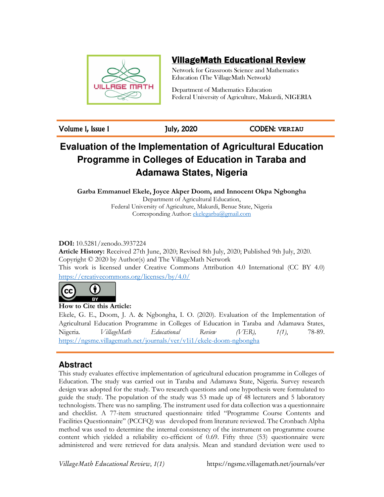

## VillageMath Educational Review

Network for Grassroots Science and Mathematics Education (The VillageMath Network)

Department of Mathematics Education Federal University of Agriculture, Makurdi, NIGERIA

Volume 1, Issue 1 July, 2020 CODEN: **VERIAU**

# **Evaluation of the Implementation of Agricultural Education Programme in Colleges of Education in Taraba and Adamawa States, Nigeria**

**Garba Emmanuel Ekele, Joyce Akper Doom, and Innocent Okpa Ngbongha**  Department of Agricultural Education, Federal University of Agriculture, Makurdi, Benue State, Nigeria Corresponding Author: ekelegarba@gmail.com

**DOI:** 10.5281/zenodo.3937224

**Article History:** Received 27th June, 2020; Revised 8th July, 2020; Published 9th July, 2020. Copyright © 2020 by Author(s) and The VillageMath Network This work is licensed under Creative Commons Attribution 4.0 International (CC BY 4.0) https://creativecommons.org/licenses/by/4.0/



**How to Cite this Article:** 

Ekele, G. E., Doom, J. A. & Ngbongha, I. O. (2020). Evaluation of the Implementation of Agricultural Education Programme in Colleges of Education in Taraba and Adamawa States, Nigeria. *VillageMath Educational Review (VER), 1(1)*, 78-89. https://ngsme.villagemath.net/journals/ver/v1i1/ekele-doom-ngbongha

## **Abstract**

This study evaluates effective implementation of agricultural education programme in Colleges of Education. The study was carried out in Taraba and Adamawa State, Nigeria. Survey research design was adopted for the study. Two research questions and one hypothesis were formulated to guide the study. The population of the study was 53 made up of 48 lecturers and 5 laboratory technologists. There was no sampling. The instrument used for data collection was a questionnaire and checklist. A 77-item structured questionnaire titled "Programme Course Contents and Facilities Questionnaire" (PCCFQ) was developed from literature reviewed. The Cronbach Alpha method was used to determine the internal consistency of the instrument on programme course content which yielded a reliability co-efficient of 0.69. Fifty three (53) questionnaire were administered and were retrieved for data analysis. Mean and standard deviation were used to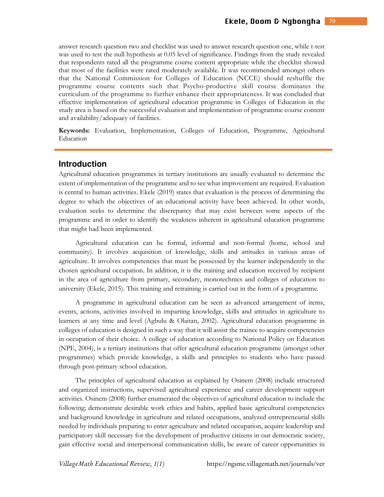answer research question two and checklist was used to answer research question one, while t-test was used to test the null hypothesis at 0.05 level of significance. Findings from the study revealed that respondents rated all the programme course content appropriate while the checklist showed that most of the facilities were rated moderately available. It was recommended amongst others that the National Commission for Colleges of Education (NCCE) should reshuffle the programme course contents such that Psycho-productive skill course dominates the curriculum of the programme to further enhance their appropriateness. It was concluded that effective implementation of agricultural education programme in Colleges of Education in the study area is based on the successful evaluation and implementation of programme course content and availability/adequacy of facilities.

**Keywords:** Evaluation, Implementation, Colleges of Education, Programme, Agricultural Education

### **Introduction**

Agricultural education programmes in tertiary institutions are usually evaluated to determine the extent of implementation of the programme and to see what improvement are required. Evaluation is central to human activities. Ekele (2019) states that evaluation is the process of determining the degree to which the objectives of an educational activity have been achieved. In other words, evaluation seeks to determine the discrepancy that may exist between some aspects of the programme and in order to identify the weakness inherent in agricultural education programme that might had been implemented.

Agricultural education can be formal, informal and non-formal (home, school and community). It involves acquisition of knowledge, skills and attitudes in various areas of agriculture. It involves competencies that must be possessed by the learner independently in the chosen agricultural occupation. In addition, it is the training and education received by recipient in the area of agriculture from primary, secondary, monotechnics and colleges of education to university (Ekele, 2015). This training and retraining is carried out in the form of a programme.

A programme in agricultural education can be seen as advanced arrangement of items, events, actions, activities involved in imparting knowledge, skills and attitudes in agriculture to learners at any time and level (Agbulu & Olaitan, 2002). Agricultural education programme in colleges of education is designed in such a way that it will assist the trainee to acquire competencies in occupation of their choice. A college of education according to National Policy on Education (NPE, 2004), is a tertiary institutions that offer agricultural education programme (amongst other programmes) which provide knowledge, a skills and principles to students who have passed through post-primary school education.

The principles of agricultural education as explained by Osinem (2008) include structured and organized instructions, supervised agricultural experience and career development support activities. Osinem (2008) further enumerated the objectives of agricultural education to include the following; demonstrate desirable work ethics and habits, applied basic agricultural competencies and background knowledge in agriculture and related occupations, analyzed entrepreneurial skills needed by individuals preparing to enter agriculture and related occupation, acquire leadership and participatory skill necessary for the development of productive citizens in our democratic society, gain effective social and interpersonal communication skills, be aware of career opportunities in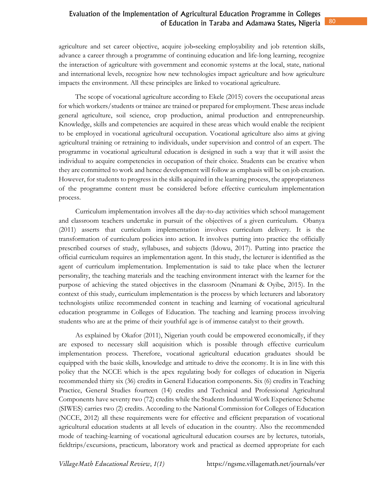agriculture and set career objective, acquire job**-**seeking employability and job retention skills, advance a career through a programme of continuing education and life-long learning, recognize the interaction of agriculture with government and economic systems at the local, state, national and international levels, recognize how new technologies impact agriculture and how agriculture impacts the environment. All these principles are linked to vocational agriculture.

The scope of vocational agriculture according to Ekele (2015) covers the occupational areas for which workers/students or trainee are trained or prepared for employment. These areas include general agriculture, soil science, crop production, animal production and entrepreneurship. Knowledge, skills and competencies are acquired in these areas which would enable the recipient to be employed in vocational agricultural occupation. Vocational agriculture also aims at giving agricultural training or retraining to individuals, under supervision and control of an expert. The programme in vocational agricultural education is designed in such a way that it will assist the individual to acquire competencies in occupation of their choice. Students can be creative when they are committed to work and hence development will follow as emphasis will be on job creation. However, for students to progress in the skills acquired in the learning process, the appropriateness of the programme content must be considered before effective curriculum implementation process.

Curriculum implementation involves all the day-to-day activities which school management and classroom teachers undertake in pursuit of the objectives of a given curriculum. Obanya (2011) asserts that curriculum implementation involves curriculum delivery. It is the transformation of curriculum policies into action. It involves putting into practice the officially prescribed courses of study, syllabuses, and subjects (Idowu, 2017). Putting into practice the official curriculum requires an implementation agent. In this study, the lecturer is identified as the agent of curriculum implementation. Implementation is said to take place when the lecturer personality, the teaching materials and the teaching environment interact with the learner for the purpose of achieving the stated objectives in the classroom (Nnamani & Oyibe, 2015). In the context of this study, curriculum implementation is the process by which lecturers and laboratory technologists utilize recommended content in teaching and learning of vocational agricultural education programme in Colleges of Education. The teaching and learning process involving students who are at the prime of their youthful age is of immense catalyst to their growth.

As explained by Okafor (2011), Nigerian youth could be empowered economically, if they are exposed to necessary skill acquisition which is possible through effective curriculum implementation process. Therefore, vocational agricultural education graduates should be equipped with the basic skills, knowledge and attitude to drive the economy. It is in line with this policy that the NCCE which is the apex regulating body for colleges of education in Nigeria recommended thirty six (36) credits in General Education components. Six (6) credits in Teaching Practice, General Studies fourteen (14) credits and Technical and Professional Agricultural Components have seventy two (72) credits while the Students Industrial Work Experience Scheme (SIWES) carries two (2) credits. According to the National Commission for Colleges of Education (NCCE, 2012) all these requirements were for effective and efficient preparation of vocational agricultural education students at all levels of education in the country. Also the recommended mode of teaching-learning of vocational agricultural education courses are by lectures, tutorials, fieldtrips/excursions, practicum, laboratory work and practical as deemed appropriate for each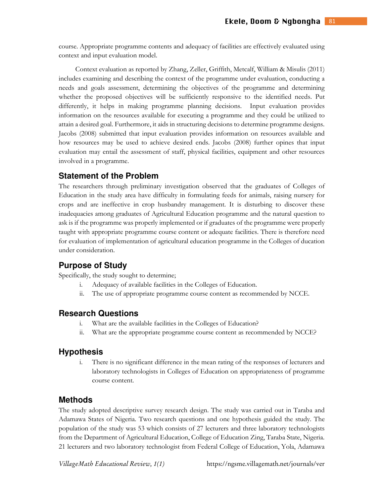course. Appropriate programme contents and adequacy of facilities are effectively evaluated using context and input evaluation model.

Context evaluation as reported by Zhang, Zeller, Griffith, Metcalf, William & Misulis (2011) includes examining and describing the context of the programme under evaluation, conducting a needs and goals assessment, determining the objectives of the programme and determining whether the proposed objectives will be sufficiently responsive to the identified needs. Put differently, it helps in making programme planning decisions. Input evaluation provides information on the resources available for executing a programme and they could be utilized to attain a desired goal. Furthermore, it aids in structuring decisions to determine programme designs. Jacobs (2008) submitted that input evaluation provides information on resources available and how resources may be used to achieve desired ends. Jacobs (2008) further opines that input evaluation may entail the assessment of staff, physical facilities, equipment and other resources involved in a programme.

### **Statement of the Problem**

The researchers through preliminary investigation observed that the graduates of Colleges of Education in the study area have difficulty in formulating feeds for animals, raising nursery for crops and are ineffective in crop husbandry management. It is disturbing to discover these inadequacies among graduates of Agricultural Education programme and the natural question to ask is if the programme was properly implemented or if graduates of the programme were properly taught with appropriate programme course content or adequate facilities. There is therefore need for evaluation of implementation of agricultural education programme in the Colleges of ducation under consideration.

### **Purpose of Study**

Specifically, the study sought to determine;

- i. Adequacy of available facilities in the Colleges of Education.
- ii. The use of appropriate programme course content as recommended by NCCE.

### **Research Questions**

- i. What are the available facilities in the Colleges of Education?
- ii. What are the appropriate programme course content as recommended by NCCE?

### **Hypothesis**

i. There is no significant difference in the mean rating of the responses of lecturers and laboratory technologists in Colleges of Education on appropriateness of programme course content.

### **Methods**

The study adopted descriptive survey research design. The study was carried out in Taraba and Adamawa States of Nigeria. Two research questions and one hypothesis guided the study. The population of the study was 53 which consists of 27 lecturers and three laboratory technologists from the Department of Agricultural Education, College of Education Zing, Taraba State, Nigeria. 21 lecturers and two laboratory technologist from Federal College of Education, Yola, Adamawa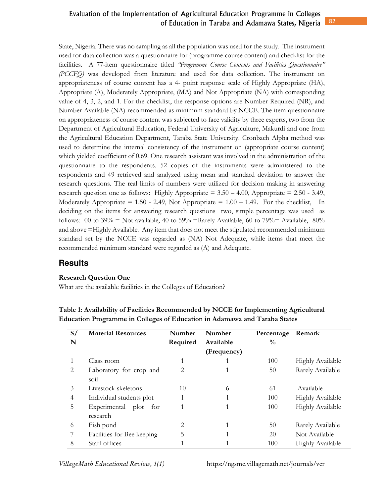#### 82 Evaluation of the Implementation of Agricultural Education Programme in Colleges of Education in Taraba and Adamawa States, Nigeria

State, Nigeria. There was no sampling as all the population was used for the study. The instrument used for data collection was a questionnaire for (programme course content) and checklist for the facilities. A 77-item questionnaire titled *"Programme Course Contents and Facilities Questionnaire" (PCCFQ)* was developed from literature and used for data collection. The instrument on appropriateness of course content has a 4- point response scale of Highly Appropriate (HA), Appropriate (A), Moderately Appropriate, (MA) and Not Appropriate (NA) with corresponding value of 4, 3, 2, and 1. For the checklist, the response options are Number Required (NR), and Number Available (NA) recommended as minimum standard by NCCE. The item questionnaire on appropriateness of course content was subjected to face validity by three experts, two from the Department of Agricultural Education, Federal University of Agriculture, Makurdi and one from the Agricultural Education Department, Taraba State University. Cronbach Alpha method was used to determine the internal consistency of the instrument on (appropriate course content) which yielded coefficient of 0.69. One research assistant was involved in the administration of the questionnaire to the respondents. 52 copies of the instruments were administered to the respondents and 49 retrieved and analyzed using mean and standard deviation to answer the research questions. The real limits of numbers were utilized for decision making in answering research question one as follows: Highly Appropriate  $= 3.50 - 4.00$ , Appropriate  $= 2.50 - 3.49$ , Moderately Appropriate =  $1.50 - 2.49$ , Not Appropriate =  $1.00 - 1.49$ . For the checklist, In deciding on the items for answering research questions two, simple percentage was used as follows: 00 to 39% = Not available, 40 to 59% = Rarely Available, 60 to 79% = Available, 80% and above =Highly Available. Any item that does not meet the stipulated recommended minimum standard set by the NCCE was regarded as (NA) Not Adequate, while items that meet the recommended minimum standard were regarded as (A) and Adequate.

### **Results**

### **Research Question One**

What are the available facilities in the Colleges of Education?

| S/ | <b>Material Resources</b>   | <b>Number</b> | Number      |               | Remark                  |
|----|-----------------------------|---------------|-------------|---------------|-------------------------|
| N  |                             | Required      | Available   | $\frac{0}{0}$ |                         |
|    |                             |               | (Frequency) |               |                         |
|    | Class room                  |               |             | 100           | <b>Highly Available</b> |
| 2  | Laboratory for crop and     | 2             |             | 50            | Rarely Available        |
|    | soil                        |               |             |               |                         |
| 3  | Livestock skeletons         | 10            | 6           | 61            | Available               |
| 4  | Individual students plot    | 1             |             | 100           | <b>Highly Available</b> |
| 5  | Experimental<br>plot<br>for | 1             |             | 100           | Highly Available        |
|    | research                    |               |             |               |                         |
| 6  | Fish pond                   | 2             |             | 50            | Rarely Available        |
|    | Facilities for Bee keeping  | 5             |             | 20            | Not Available           |
| 8  | Staff offices               | 1             |             | 100           | <b>Highly Available</b> |

**Table 1: Availability of Facilities Recommended by NCCE for Implementing Agricultural Education Programme in Colleges of Education in Adamawa and Taraba States**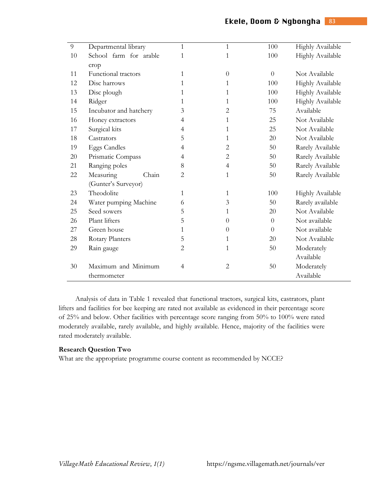| 9  | Departmental library   | $\mathbf{1}$   | $\mathbf{1}$   | 100            | Highly Available        |  |
|----|------------------------|----------------|----------------|----------------|-------------------------|--|
| 10 | School farm for arable | 1              | 1              | 100            | Highly Available        |  |
|    | crop                   |                |                |                |                         |  |
| 11 | Functional tractors    | 1              | $\Omega$       | $\overline{0}$ | Not Available           |  |
| 12 | Disc harrows           | 1              | 1              | 100            | <b>Highly Available</b> |  |
| 13 | Disc plough            | 1              | 1              | 100            | Highly Available        |  |
| 14 | Ridger                 | 1              | 1              | 100            | <b>Highly Available</b> |  |
| 15 | Incubator and hatchery | 3              | 2              | 75             | Available               |  |
| 16 | Honey extractors       | 4              | 1              | 25             | Not Available           |  |
| 17 | Surgical kits          | 4              | 1              | 25             | Not Available           |  |
| 18 | Castrators             | 5              | 1              | 20             | Not Available           |  |
| 19 | <b>Eggs Candles</b>    | 4              | $\overline{2}$ | 50             | Rarely Available        |  |
| 20 | Prismatic Compass      | 4              | $\overline{2}$ | 50             | Rarely Available        |  |
| 21 | Ranging poles          | 8              | $\overline{4}$ | 50             | Rarely Available        |  |
| 22 | Measuring<br>Chain     | 2              | 1              | 50             | Rarely Available        |  |
|    | (Gunter's Surveyor)    |                |                |                |                         |  |
| 23 | Theodolite             | 1              | 1              | 100            | <b>Highly Available</b> |  |
| 24 | Water pumping Machine  | 6              | 3              | 50             | Rarely available        |  |
| 25 | Seed sowers            | 5              | 1              | 20             | Not Available           |  |
| 26 | Plant lifters          | 5              | $\theta$       | $\overline{0}$ | Not available           |  |
| 27 | Green house            | 1              | $\overline{0}$ | $\Omega$       | Not available           |  |
| 28 | Rotary Planters        | 5              | 1              | 20             | Not Available           |  |
| 29 | Rain gauge             | 2              | 1              | 50             | Moderately              |  |
|    |                        |                |                |                | Available               |  |
| 30 | Maximum and Minimum    | $\overline{4}$ | 2              | 50             | Moderately              |  |
|    | thermometer            |                |                |                | Available               |  |

Analysis of data in Table 1 revealed that functional tractors, surgical kits, castrators, plant lifters and facilities for bee keeping are rated not available as evidenced in their percentage score of 25% and below. Other facilities with percentage score ranging from 50% to 100% were rated moderately available, rarely available, and highly available. Hence, majority of the facilities were rated moderately available.

### **Research Question Two**

What are the appropriate programme course content as recommended by NCCE?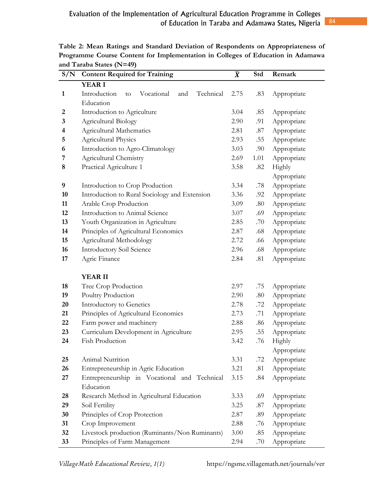| S/N          | <b>Content Required for Training</b>                 | $\overline{\boldsymbol{X}}$ | Std                | Remark      |  |
|--------------|------------------------------------------------------|-----------------------------|--------------------|-------------|--|
|              | <b>YEAR I</b>                                        |                             |                    |             |  |
| $\mathbf{1}$ | Introduction<br>Vocational<br>Technical<br>and<br>to | 2.75                        | .83                | Appropriate |  |
|              | Education                                            |                             |                    |             |  |
| 2            | Introduction to Agriculture                          | 3.04                        | .85                | Appropriate |  |
| 3            | Agricultural Biology                                 | 2.90                        | .91                | Appropriate |  |
| 4            | Agricultural Mathematics                             | 2.81                        | .87                | Appropriate |  |
| 5            | <b>Agricultural Physics</b>                          | 2.93                        | .55                | Appropriate |  |
| 6            | Introduction to Agro-Climatology                     | 3.03                        | .90                | Appropriate |  |
| 7            | Agricultural Chemistry                               | 2.69                        | 1.01               | Appropriate |  |
| 8            | Practical Agriculture 1                              | 3.58                        | .82                | Highly      |  |
|              |                                                      |                             |                    | Appropriate |  |
| 9            | Introduction to Crop Production                      | 3.34                        | .78<br>Appropriate |             |  |
| 10           | Introduction to Rural Sociology and Extension        | 3.36                        | .92                | Appropriate |  |
| 11           | Arable Crop Production                               | 3.09                        | .80                | Appropriate |  |
| 12           | Introduction to Animal Science                       | 3.07                        | .69                | Appropriate |  |
| 13           | Youth Organization in Agriculture                    | 2.85                        | .70                | Appropriate |  |
| 14           | Principles of Agricultural Economics                 | 2.87                        | .68                | Appropriate |  |
| 15           | Agricultural Methodology                             | 2.72                        | .66                | Appropriate |  |
| 16           | Introductory Soil Science                            | 2.96                        | .68                | Appropriate |  |
| 17           | Agric Finance                                        | 2.84                        | .81                | Appropriate |  |
|              |                                                      |                             |                    |             |  |
|              | <b>YEAR II</b>                                       |                             |                    |             |  |
| 18           | Tree Crop Production                                 | 2.97                        | .75                | Appropriate |  |
| 19           | Poultry Production                                   | 2.90                        | .80                | Appropriate |  |
| 20           | Introductory to Genetics                             | 2.78                        | .72                | Appropriate |  |
| 21           | Principles of Agricultural Economics                 | 2.73                        | .71                | Appropriate |  |
| 22           | Farm power and machinery                             | 2.88                        | .86                | Appropriate |  |
| 23           | Curriculum Development in Agriculture                | 2.95                        | .55                | Appropriate |  |
| 24           | Fish Production                                      | 3.42                        | .76                | Highly      |  |
|              |                                                      |                             |                    | Appropriate |  |
| 25           | Animal Nutrition                                     | 3.31                        | .72                | Appropriate |  |
| 26           | Entrepreneurship in Agric Education                  | 3.21                        | .81                | Appropriate |  |
| 27           | Entrepreneurship in Vocational and Technical         | 3.15                        | .84                | Appropriate |  |
|              | Education                                            |                             |                    |             |  |
| 28           | Research Method in Agricultural Education            | 3.33                        | .69                | Appropriate |  |
| 29           | Soil Fertility                                       | 3.25                        | .87                | Appropriate |  |
| 30           | Principles of Crop Protection                        | 2.87                        | .89                | Appropriate |  |
| 31           | Crop Improvement                                     | 2.88                        | .76                | Appropriate |  |
| 32           | Livestock production (Ruminants/Non Ruminants)       | 3.00                        | .85                | Appropriate |  |
| 33           | Principles of Farm Management                        | 2.94                        | .70                | Appropriate |  |

**Table 2: Mean Ratings and Standard Deviation of Respondents on Appropriateness of Programme Course Content for Implementation in Colleges of Education in Adamawa and Taraba States (N=49)**   $\blacksquare$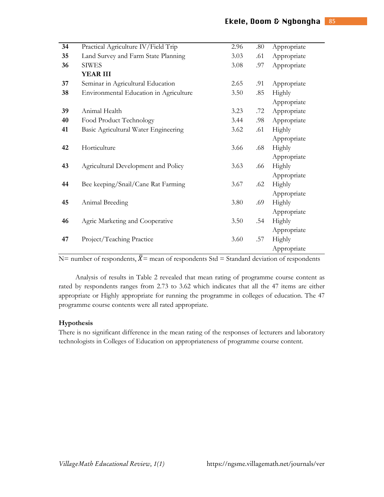| Practical Agriculture IV/Field Trip    | 2.96 | .80 | Appropriate   |
|----------------------------------------|------|-----|---------------|
| Land Survey and Farm State Planning    | 3.03 | .61 | Appropriate   |
| <b>SIWES</b>                           | 3.08 | .97 | Appropriate   |
| <b>YEAR III</b>                        |      |     |               |
| Seminar in Agricultural Education      | 2.65 | .91 | Appropriate   |
| Environmental Education in Agriculture | 3.50 | .85 | Highly        |
|                                        |      |     | Appropriate   |
| Animal Health                          | 3.23 | .72 | Appropriate   |
| Food Product Technology                | 3.44 | .98 | Appropriate   |
| Basic Agricultural Water Engineering   | 3.62 | .61 | <b>Highly</b> |
|                                        |      |     | Appropriate   |
| Horticulture                           | 3.66 | .68 | Highly        |
|                                        |      |     | Appropriate   |
| Agricultural Development and Policy    | 3.63 | .66 | Highly        |
|                                        |      |     | Appropriate   |
| Bee keeping/Snail/Cane Rat Farming     | 3.67 | .62 | Highly        |
|                                        |      |     | Appropriate   |
| Animal Breeding                        | 3.80 | .69 | Highly        |
|                                        |      |     | Appropriate   |
| Agric Marketing and Cooperative        | 3.50 | .54 | Highly        |
|                                        |      |     | Appropriate   |
| Project/Teaching Practice              | 3.60 | .57 | Highly        |
|                                        |      |     | Appropriate   |
|                                        |      |     |               |

N= number of respondents,  $\bar{X}$ = mean of respondents Std = Standard deviation of respondents

Analysis of results in Table 2 revealed that mean rating of programme course content as rated by respondents ranges from 2.73 to 3.62 which indicates that all the 47 items are either appropriate or Highly appropriate for running the programme in colleges of education. The 47 programme course contents were all rated appropriate.

### **Hypothesis**

There is no significant difference in the mean rating of the responses of lecturers and laboratory technologists in Colleges of Education on appropriateness of programme course content.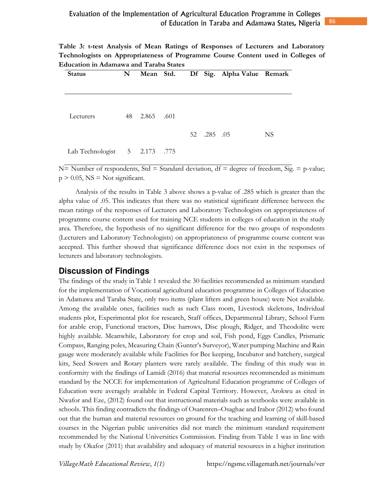| Table 3: t-test Analysis of Mean Ratings of Responses of Lecturers and Laboratory |  |
|-----------------------------------------------------------------------------------|--|
| Technologists on Appropriateness of Programme Course Content used in Colleges of  |  |
| Education in Adamawa and Taraba States                                            |  |

| <b>Status</b>                 | N  |            |  |             | Mean Std. Df Sig. Alpha Value Remark |     |
|-------------------------------|----|------------|--|-------------|--------------------------------------|-----|
|                               |    |            |  |             |                                      |     |
|                               |    |            |  |             |                                      |     |
| Lecturers                     | 48 | 2.865 .601 |  |             |                                      |     |
|                               |    |            |  |             |                                      |     |
|                               |    |            |  | 52 .285 .05 |                                      | NS. |
| Lab Technologist 5 2.173 .775 |    |            |  |             |                                      |     |

N= Number of respondents, Std = Standard deviation,  $df = degree of freedom$ , Sig. = p-value;  $p > 0.05$ , NS = Not significant.

Analysis of the results in Table 3 above shows a p-value of .285 which is greater than the alpha value of .05. This indicates that there was no statistical significant difference between the mean ratings of the responses of Lecturers and Laboratory Technologists on appropriateness of programme course content used for training NCE students in colleges of education in the study area. Therefore, the hypothesis of no significant difference for the two groups of respondents (Lecturers and Laboratory Technologists) on appropriateness of programme course content was accepted. This further showed that significance difference does not exist in the responses of lecturers and laboratory technologists.

### **Discussion of Findings**

The findings of the study in Table 1 revealed the 30 facilities recommended as minimum standard for the implementation of Vocational agricultural education programme in Colleges of Education in Adamawa and Taraba State, only two items (plant lifters and green house) were Not available. Among the available ones, facilities such as such Class room, Livestock skeletons, Individual students plot, Experimental plot for research, Staff offices, Departmental Library, School Farm for arable crop, Functional tractors, Disc harrows, Disc plough, Ridger, and Theodolite were highly available. Meanwhile, Laboratory for crop and soil, Fish pond, Eggs Candles, Prismatic Compass, Ranging poles, Measuring Chain (Gunter's Surveyor), Water pumping Machine and Rain gauge were moderately available while Facilities for Bee keeping, Incubator and hatchery, surgical kits, Seed Sowers and Rotary planters were rarely available. The finding of this study was in conformity with the findings of Lamidi (2016) that material resources recommended as minimum standard by the NCCE for implementation of Agricultural Education programme of Colleges of Education were averagely available in Federal Capital Territory. However, Arokwu as cited in Nwafor and Eze, (2012) found out that instructional materials such as textbooks were available in schools. This finding contradicts the findings of Osarenren–Osaghae and Irabor (2012) who found out that the human and material resources on ground for the teaching and learning of skill-based courses in the Nigerian public universities did not match the minimum standard requirement recommended by the National Universities Commission. Finding from Table 1 was in line with study by Okafor (2011) that availability and adequacy of material resources in a higher institution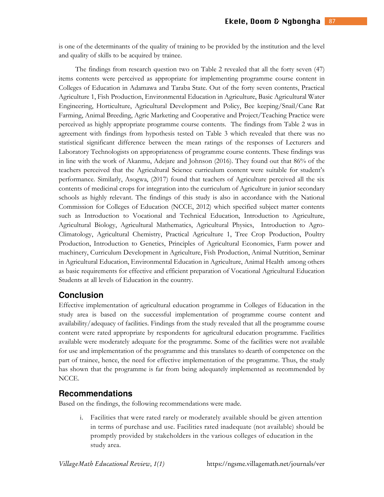is one of the determinants of the quality of training to be provided by the institution and the level and quality of skills to be acquired by trainee.

The findings from research question two on Table 2 revealed that all the forty seven (47) items contents were perceived as appropriate for implementing programme course content in Colleges of Education in Adamawa and Taraba State. Out of the forty seven contents, Practical Agriculture 1, Fish Production, Environmental Education in Agriculture, Basic Agricultural Water Engineering, Horticulture, Agricultural Development and Policy, Bee keeping/Snail/Cane Rat Farming, Animal Breeding, Agric Marketing and Cooperative and Project/Teaching Practice were perceived as highly appropriate programme course contents. The findings from Table 2 was in agreement with findings from hypothesis tested on Table 3 which revealed that there was no statistical significant difference between the mean ratings of the responses of Lecturers and Laboratory Technologists on appropriateness of programme course contents. These findings was in line with the work of Akanmu, Adejare and Johnson (2016). They found out that 86% of the teachers perceived that the Agricultural Science curriculum content were suitable for student's performance. Similarly, Asogwa, (2017) found that teachers of Agriculture perceived all the six contents of medicinal crops for integration into the curriculum of Agriculture in junior secondary schools as highly relevant. The findings of this study is also in accordance with the National Commission for Colleges of Education (NCCE, 2012) which specified subject matter contents such as Introduction to Vocational and Technical Education, Introduction to Agriculture, Agricultural Biology, Agricultural Mathematics, Agricultural Physics, Introduction to Agro-Climatology, Agricultural Chemistry, Practical Agriculture 1, Tree Crop Production, Poultry Production, Introduction to Genetics, Principles of Agricultural Economics, Farm power and machinery, Curriculum Development in Agriculture, Fish Production, Animal Nutrition, Seminar in Agricultural Education, Environmental Education in Agriculture, Animal Health among others as basic requirements for effective and efficient preparation of Vocational Agricultural Education Students at all levels of Education in the country.

### **Conclusion**

Effective implementation of agricultural education programme in Colleges of Education in the study area is based on the successful implementation of programme course content and availability/adequacy of facilities. Findings from the study revealed that all the programme course content were rated appropriate by respondents for agricultural education programme. Facilities available were moderately adequate for the programme. Some of the facilities were not available for use and implementation of the programme and this translates to dearth of competence on the part of trainee, hence, the need for effective implementation of the programme. Thus, the study has shown that the programme is far from being adequately implemented as recommended by NCCE.

### **Recommendations**

Based on the findings, the following recommendations were made.

i. Facilities that were rated rarely or moderately available should be given attention in terms of purchase and use. Facilities rated inadequate (not available) should be promptly provided by stakeholders in the various colleges of education in the study area.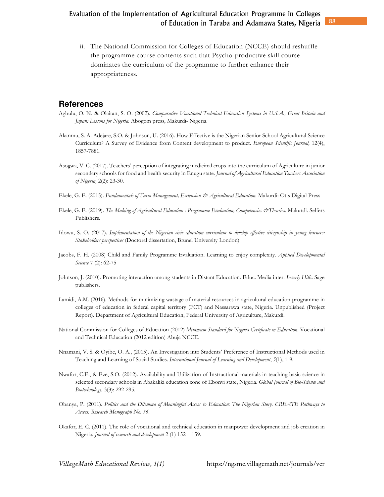ii. The National Commission for Colleges of Education (NCCE) should reshuffle the programme course contents such that Psycho-productive skill course dominates the curriculum of the programme to further enhance their appropriateness.

### **References**

- Agbulu, O. N. & Olaitan, S. O. (2002). *Comparative Vocational Technical Education Systems in U.S.A., Great Britain and Japan: Lessons for Nigeria.* Abogom press, Makurdi- Nigeria.
- Akanmu, S. A. Adejare, S.O. & Johnson, U. (2016). How Effective is the Nigerian Senior School Agricultural Science Curriculum? A Survey of Evidence from Content development to product. *European Scientific Journal,* 12(4), 1857-7881.
- Asogwa, V. C. (2017). Teachers' perception of integrating medicinal crops into the curriculum of Agriculture in junior secondary schools for food and health security in Enugu state. *Journal of Agricultural Education Teachers Association of Nigeria,* 2(2): 23-30.
- Ekele, G. E. (2015). *Fundamentals of Farm Management, Extension & Agricultural Education.* Makurdi: Otis Digital Press
- Ekele, G. E. (2019). *The Making of Agricultural Education-: Programme Evaluation, Competencies &Theories.* Makurdi. Selfers Publishers.
- Idowu, S. O. (2017). *Implementation of the Nigerian civic education curriculum to develop effective citizenship in young learners: Stakeholders perspectives* (Doctoral dissertation, Brunel University London).
- Jacobs, F. H. (2008) Child and Family Programme Evaluation. Learning to enjoy complexity*. Applied Developmental Science* 7 (2): 62-75
- Johnson, J. (2010). Promoting interaction among students in Distant Education. Educ. Media inter. *Beverly Hills*: Sage publishers.
- Lamidi, A.M. (2016). Methods for minimizing wastage of material resources in agricultural education programme in colleges of education in federal capital territory (FCT) and Nassarawa state, Nigeria. Unpublished (Project Report). Department of Agricultural Education, Federal University of Agriculture, Makurdi.
- National Commission for Colleges of Education (2012) *Minimum Standard for Nigeria Certificate in Education*. Vocational and Technical Education (2012 edition) Abuja NCCE.
- Nnamani, V. S. & Oyibe, O. A., (2015). An Investigation into Students' Preference of Instructional Methods used in Teaching and Learning of Social Studies. *International Journal of Learning and Development*, *5*(1), 1-9.
- Nwafor, C.E., & Eze, S.O. (2012). Availability and Utilization of Instructional materials in teaching basic science in selected secondary schools in Abakaliki education zone of Ebonyi state, Nigeria. *Global Journal of Bio-Science and Biotechnology,* 3(3): 292-295.
- Obanya, P. (2011). *Politics and the Dilemma of Meaningful Access to Education: The Nigerian Story. CREATE Pathways to Access. Research Monograph No. 56*.
- Okafor, E. C. (2011). The role of vocational and technical education in manpower development and job creation in Nigeria. *Journal of research and development* 2 (1) 152 – 159.